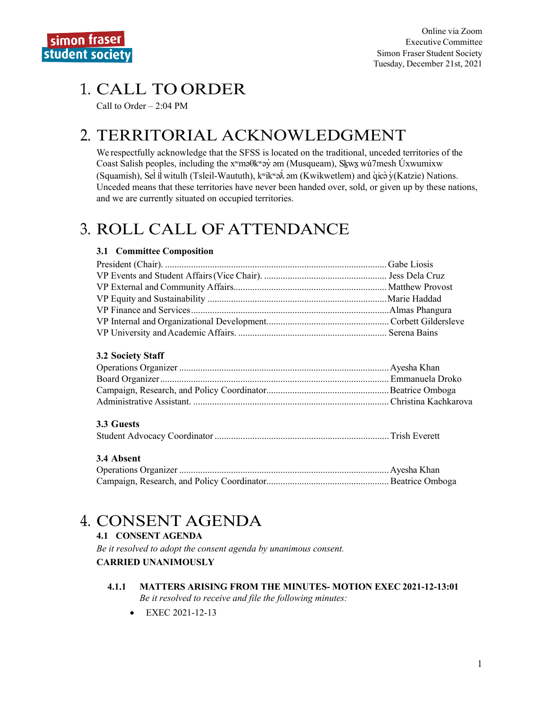# 1. CALL TO ORDER

Call to Order  $-2:04$  PM

# 2. TERRITORIAL ACKNOWLEDGMENT

We respectfully acknowledge that the SFSS is located on the traditional, unceded territories of the Coast Salish peoples, including the x<sup>w</sup>ma0k<sup>w</sup>ay am (Musqueam), Skwx wu7mesh Uxwumixw (Squamish), Sel il witulh (Tsleil-Waututh), k<sup>w</sup>ikwə $\lambda$  əm (Kwikwetlem) and qicə y(Katzie) Nations. Unceded means that these territories have never been handed over, sold, or given up by these nations, and we are currently situated on occupied territories.

# **3. ROLL CALL OF ATTENDANCE**

### 3.1 Committee Composition

## 3.2 Society Staff

### 3.3 Guests

|--|--|

### 3.4 Absent

# **4. CONSENT AGENDA**

### **4.1 CONSENT AGENDA**

Be it resolved to adopt the consent agenda by unanimous consent. **CARRIED UNANIMOUSLY** 

- **MATTERS ARISING FROM THE MINUTES- MOTION EXEC 2021-12-13:01**  $4.1.1$ Be it resolved to receive and file the following minutes:
	- $\bullet$  EXEC 2021-12-13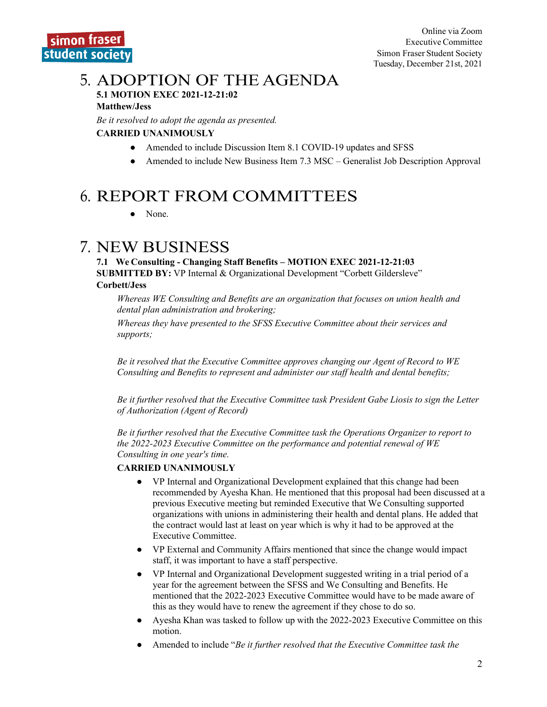## 5. ADOPTION OF THE AGENDA **5.1 MOTION EXEC 2021-12-21:02**

#### **Matthew/Jess**

*Be it resolved to adopt the agenda as presented.*

### **CARRIED UNANIMOUSLY**

- Amended to include Discussion Item 8.1 COVID-19 updates and SFSS
- Amended to include New Business Item 7.3 MSC Generalist Job Description Approval

# 6. REPORT FROM COMMITTEES

• None.

## 7. NEW BUSINESS

#### **7 . 1 We Consulting - Changing Staff Benefits – MOTION EXEC 2021-12-21:03 SUBMITTED BY:** VP Internal & Organizational Development "Corbett Gildersleve"

#### **Corbett/Jess**

*Whereas WE Consulting and Benefits are an organization that focuses on union health and dental plan administration and brokering;*

*Whereas they have presented to the SFSS Executive Committee about their services and supports;*

*Be it resolved that the Executive Committee approves changing our Agent of Record to WE Consulting and Benefits to represent and administer our staff health and dental benefits;*

*Be it further resolved that the Executive Committee task President Gabe Liosis to sign the Letter of Authorization (Agent of Record)*

*Be it further resolved that the Executive Committee task the Operations Organizer to report to the 2022-2023 Executive Committee on the performance and potential renewal of WE Consulting in one year's time.*

#### **CARRIED UNANIMOUSLY**

- VP Internal and Organizational Development explained that this change had been recommended by Ayesha Khan. He mentioned that this proposal had been discussed at a previous Executive meeting but reminded Executive that We Consulting supported organizations with unions in administering their health and dental plans. He added that the contract would last at least on year which is why it had to be approved at the Executive Committee.
- VP External and Community Affairs mentioned that since the change would impact staff, it was important to have a staff perspective.
- VP Internal and Organizational Development suggested writing in a trial period of a year for the agreement between the SFSS and We Consulting and Benefits. He mentioned that the 2022-2023 Executive Committee would have to be made aware of this as they would have to renew the agreement if they chose to do so.
- Ayesha Khan was tasked to follow up with the 2022-2023 Executive Committee on this motion.
- Amended to include "*Be it further resolved that the Executive Committee task the*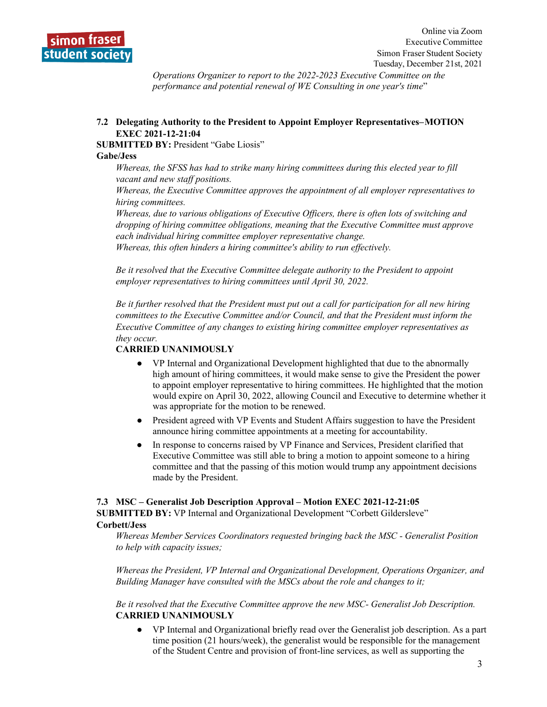

*Operations Organizer to report to the 2022-2023 Executive Committee on the performance and potential renewal of WE Consulting in one year's time*"

#### **7 . 2 Delegating Authority to the President to Appoint Employer Representatives–MOTION EXEC 2021-12-21:04**

**SUBMITTED BY: President "Gabe Liosis"** 

#### **Gabe/Jess**

*Whereas, the SFSS has had to strike many hiring committees during this elected year to fill vacant and new staff positions.*

*Whereas, the Executive Committee approves the appointment of all employer representatives to hiring committees.*

*Whereas, due to various obligations of Executive Officers, there is often lots of switching and dropping of hiring committee obligations, meaning that the Executive Committee must approve each individual hiring committee employer representative change.*

*Whereas, this often hinders a hiring committee's ability to run effectively.*

*Be it resolved that the Executive Committee delegate authority to the President to appoint employer representatives to hiring committees until April 30, 2022.*

*Be it further resolved that the President must put out a call for participation for all new hiring committees to the Executive Committee and/or Council, and that the President must inform the Executive Committee of any changes to existing hiring committee employer representatives as they occur.*

#### **CARRIED UNANIMOUSLY**

- VP Internal and Organizational Development highlighted that due to the abnormally high amount of hiring committees, it would make sense to give the President the power to appoint employer representative to hiring committees. He highlighted that the motion would expire on April 30, 2022, allowing Council and Executive to determine whether it was appropriate for the motion to be renewed.
- President agreed with VP Events and Student Affairs suggestion to have the President announce hiring committee appointments at a meeting for accountability.
- In response to concerns raised by VP Finance and Services, President clarified that Executive Committee was still able to bring a motion to appoint someone to a hiring committee and that the passing of this motion would trump any appointment decisions made by the President.

#### **7 . 3 MSC – Generalist Job Description Approval – Motion EXEC 2021-12-21:05**

**SUBMITTED BY:** VP Internal and Organizational Development "Corbett Gildersleve" **Corbett/Jess**

*Whereas Member Services Coordinators requested bringing back the MSC - Generalist Position to help with capacity issues;*

*Whereas the President, VP Internal and Organizational Development, Operations Organizer, and Building Manager have consulted with the MSCs about the role and changes to it;*

*Be it resolved that the Executive Committee approve the new MSC- Generalist Job Description.* **CARRIED UNANIMOUSLY**

VP Internal and Organizational briefly read over the Generalist job description. As a part time position (21 hours/week), the generalist would be responsible for the management of the Student Centre and provision of front-line services, as well as supporting the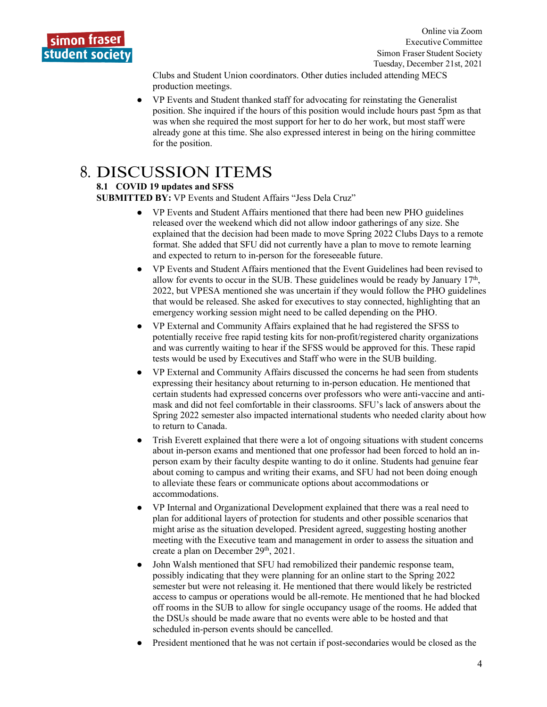

Clubs and Student Union coordinators. Other duties included attending MECS production meetings.

● VP Events and Student thanked staff for advocating for reinstating the Generalist position. She inquired if the hours of this position would include hours past 5pm as that was when she required the most support for her to do her work, but most staff were already gone at this time. She also expressed interest in being on the hiring committee for the position.

# 8. DISCUSSION ITEMS

### **8 . 1 COVID 19 updates and SFSS**

**SUBMITTED BY:** VP Events and Student Affairs "Jess Dela Cruz"

- VP Events and Student Affairs mentioned that there had been new PHO guidelines released over the weekend which did not allow indoor gatherings of any size. She explained that the decision had been made to move Spring 2022 Clubs Days to a remote format. She added that SFU did not currently have a plan to move to remote learning and expected to return to in-person for the foreseeable future.
- VP Events and Student Affairs mentioned that the Event Guidelines had been revised to allow for events to occur in the SUB. These guidelines would be ready by January  $17<sup>th</sup>$ , 2022, but VPESA mentioned she was uncertain if they would follow the PHO guidelines that would be released. She asked for executives to stay connected, highlighting that an emergency working session might need to be called depending on the PHO.
- VP External and Community Affairs explained that he had registered the SFSS to potentially receive free rapid testing kits for non-profit/registered charity organizations and was currently waiting to hear if the SFSS would be approved for this. These rapid tests would be used by Executives and Staff who were in the SUB building.
- VP External and Community Affairs discussed the concerns he had seen from students expressing their hesitancy about returning to in-person education. He mentioned that certain students had expressed concerns over professors who were anti-vaccine and antimask and did not feel comfortable in their classrooms. SFU's lack of answers about the Spring 2022 semester also impacted international students who needed clarity about how to return to Canada.
- Trish Everett explained that there were a lot of ongoing situations with student concerns about in-person exams and mentioned that one professor had been forced to hold an inperson exam by their faculty despite wanting to do it online. Students had genuine fear about coming to campus and writing their exams, and SFU had not been doing enough to alleviate these fears or communicate options about accommodations or accommodations.
- VP Internal and Organizational Development explained that there was a real need to plan for additional layers of protection for students and other possible scenarios that might arise as the situation developed. President agreed, suggesting hosting another meeting with the Executive team and management in order to assess the situation and create a plan on December 29<sup>th</sup>, 2021.
- John Walsh mentioned that SFU had remobilized their pandemic response team, possibly indicating that they were planning for an online start to the Spring 2022 semester but were not releasing it. He mentioned that there would likely be restricted access to campus or operations would be all-remote. He mentioned that he had blocked off rooms in the SUB to allow for single occupancy usage of the rooms. He added that the DSUs should be made aware that no events were able to be hosted and that scheduled in-person events should be cancelled.
- President mentioned that he was not certain if post-secondaries would be closed as the